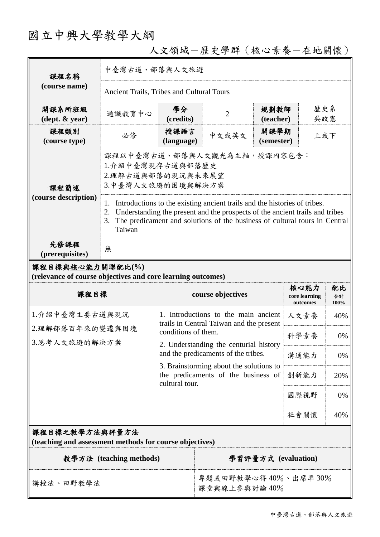# 國立中興大學教學大綱

| 課程名稱<br>(course name)                                                           | 中臺灣古道、部落與人文旅遊                                                                                                                                                                                                                                                                                                                                                    |                                                                                                         |                                                                               |                           |                                   |                  |  |
|---------------------------------------------------------------------------------|------------------------------------------------------------------------------------------------------------------------------------------------------------------------------------------------------------------------------------------------------------------------------------------------------------------------------------------------------------------|---------------------------------------------------------------------------------------------------------|-------------------------------------------------------------------------------|---------------------------|-----------------------------------|------------------|--|
|                                                                                 | Ancient Trails, Tribes and Cultural Tours                                                                                                                                                                                                                                                                                                                        |                                                                                                         |                                                                               |                           |                                   |                  |  |
| 開課系所班級<br>$(\text{dept.} \& \text{ year})$                                      | 通識教育中心                                                                                                                                                                                                                                                                                                                                                           | 學分<br>(credits)                                                                                         | $\overline{2}$                                                                | 規劃教師<br>(teacher)         |                                   | 歷史系<br>吳政憲       |  |
| 課程類別<br>(course type)                                                           | 必修                                                                                                                                                                                                                                                                                                                                                               | 授課語言<br>(language)                                                                                      | 中文或英文                                                                         | 開課學期<br>上或下<br>(semester) |                                   |                  |  |
| 課程簡述<br>(course description)                                                    | 課程以中臺灣古道、部落與人文觀光為主軸,授課內容包含:<br>1.介紹中臺灣現存古道與部落歷史<br>2.理解古道與部落的現況與未來展望<br>3.中臺灣人文旅遊的困境與解決方案<br>Introductions to the existing ancient trails and the histories of tribes.<br>1.<br>Understanding the present and the prospects of the ancient trails and tribes<br>2.<br>The predicament and solutions of the business of cultural tours in Central<br>3.<br>Taiwan |                                                                                                         |                                                                               |                           |                                   |                  |  |
| 先修課程<br>(prerequisites)                                                         | 無                                                                                                                                                                                                                                                                                                                                                                |                                                                                                         |                                                                               |                           |                                   |                  |  |
| 課程目標與核心能力關聯配比(%)<br>(relevance of course objectives and core learning outcomes) |                                                                                                                                                                                                                                                                                                                                                                  |                                                                                                         |                                                                               |                           |                                   |                  |  |
| 課程目標                                                                            |                                                                                                                                                                                                                                                                                                                                                                  |                                                                                                         | course objectives                                                             |                           | 核心能力<br>core learning<br>outcomes | 配比<br>合計<br>100% |  |
| 1.介紹中臺灣主要古道與現況                                                                  |                                                                                                                                                                                                                                                                                                                                                                  | 1. Introductions to the main ancient<br>trails in Central Taiwan and the present<br>conditions of them. |                                                                               | 人文素養                      | 40%                               |                  |  |
| 2.理解部落百年來的變遷與困境<br>3.思考人文旅遊的解決方案                                                |                                                                                                                                                                                                                                                                                                                                                                  |                                                                                                         |                                                                               | 科學素養                      | 0%                                |                  |  |
|                                                                                 |                                                                                                                                                                                                                                                                                                                                                                  |                                                                                                         | 2. Understanding the centurial history<br>and the predicaments of the tribes. |                           | 溝通能力                              | 0%               |  |
|                                                                                 |                                                                                                                                                                                                                                                                                                                                                                  | 3. Brainstorming about the solutions to<br>the predicaments of the business of<br>cultural tour.        |                                                                               |                           | 創新能力                              | 20%              |  |
|                                                                                 |                                                                                                                                                                                                                                                                                                                                                                  |                                                                                                         |                                                                               |                           | 國際視野                              | 0%               |  |
|                                                                                 |                                                                                                                                                                                                                                                                                                                                                                  |                                                                                                         |                                                                               |                           | 社會關懷                              | 40%              |  |
| 課程目標之教學方法與評量方法<br>(teaching and assessment methods for course objectives)       |                                                                                                                                                                                                                                                                                                                                                                  |                                                                                                         |                                                                               |                           |                                   |                  |  |
| 教學方法 (teaching methods)                                                         |                                                                                                                                                                                                                                                                                                                                                                  |                                                                                                         | 學習評量方式 (evaluation)                                                           |                           |                                   |                  |  |

講授法、田野教學法 ままま 事題或田野教學心得40%、出席率30%

課堂與線上參與討論 40%

# 人文領域-歷史學群(核心素養-在地關懷)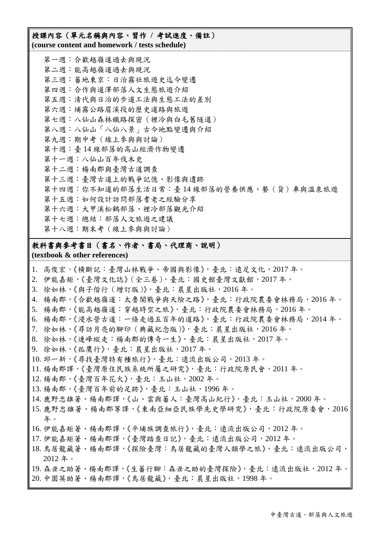#### 授課內容(單元名稱與內容、習作 **/** 考試進度、備註) **(course content and homework / tests schedule)**

第一週:合歡越嶺道過去與現況 第二週:能高越嶺道過去與現況 第三週:蕃地東京:日治霧社旅遊史迄今變遷 第四週:合作與道澤部落人文生態旅遊介紹 第五週:清代與日治的步道工法與生態工法的差別 第六週:埔霧公路眉溪段的歷史道路與旅遊 第七週:八仙山森林鐵路探密(裡冷與白毛舊隧道) 第八週:八仙山「八仙八景」古今地點變遷與介紹 第九週:期中考(線上參與與討論) 第十週:臺 14 線部落的高山經濟作物變遷 第十一週:八仙山百年伐木史 第十二週:楊南郡與臺灣古道調查 第十三週:臺灣古道上的戰爭記憶、影像與遺跡 第十四週:你不知道的部落生活日常:臺 14 線部落的營養供應、餐(貨)車與溫泉旅遊 第十五週:如何設計訪問部落耆老之經驗分享 第十六週:大甲溪松鶴部落、裡冷部落觀光介紹 第十七週:總結:部落人文旅遊之建議 第十八週:期末考(線上參與與討論)

#### 教科書與參考書目(書名、作者、書局、代理商、說明)

**(textbook & other references)**

- 1. 高俊宏,《橫斷記:臺灣山林戰爭、帝國與影像》,臺北:遠足文化,2017 年。
- 2. 伊能嘉矩,《臺灣文化誌》(全三卷),臺北:國史館臺灣文獻館,2017年。
- 3. 徐如林,《與子偕行(增訂版)》,臺北:晨星出版社,2016 年。
- 4. 楊南郡,《合歡越嶺道:太魯閣戰爭與天險之路》,臺北:行政院農委會林務局,2016 年。
- 5. 楊南郡,《能高越嶺道:穿越時空之旅》,臺北:行政院農委會林務局,2016 年。
- 6. 楊南郡,《浸水營古道:一條走過五百年的道路》,臺北:行政院農委會林務局,2014 年。
- 7. 徐如林,《尋訪月亮的腳印(典藏紀念版)》,臺北:晨星出版社,2016 年。
- 8. 徐如林,《連峰縱走:楊南郡的傳奇一生》,臺北:晨星出版社,2017 年。
- 9. 徐如林,《孤鷹行》,臺北:晨星出版社,2017 年。
- 10. 邱一新,《尋找臺灣特有種旅行》,臺北:遠流出版公司,2013 年。
- 11. 楊南郡譯,《臺灣原住民族系統所屬之研究》,臺北:行政院原民會,2011 年。
- 12. 楊南郡,《臺灣百年花火》,臺北:玉山社,2002 年。
- 13. 楊南郡,《臺灣百年前的足跡》,臺北:玉山社,1996 年。
- 14. 鹿野忠雄著、楊南郡譯,《山、雲與蕃人:臺灣高山紀行》, 臺北: 玉山社, 2000 年。
- 15. 鹿野忠雄著、楊南郡等譯,《東南亞細亞民族學先史學研究》,臺北:行政院原委會,2016 年。
- 16. 伊能嘉矩著、楊南郡譯,《平埔族調查旅行》,臺北:遠流出版公司,2012 年。
- 17. 伊能嘉矩著、楊南郡譯,《臺灣踏查日記》,臺北:遠流出版公司,2012 年。
- 18. 鳥居龍藏著、楊南郡譯,《探險臺灣:鳥居龍藏的臺灣人類學之旅》, 臺北:遠流出版公司, 2012 年。
- 19. 森丑之助著、楊南郡譯,《生蕃行腳:森丑之助的臺灣探險》,臺北:遠流出版社,2012 年。
- 20. 中園英助著、楊南郡譯,《鳥居龍藏》,臺北:晨星出版社,1998 年。